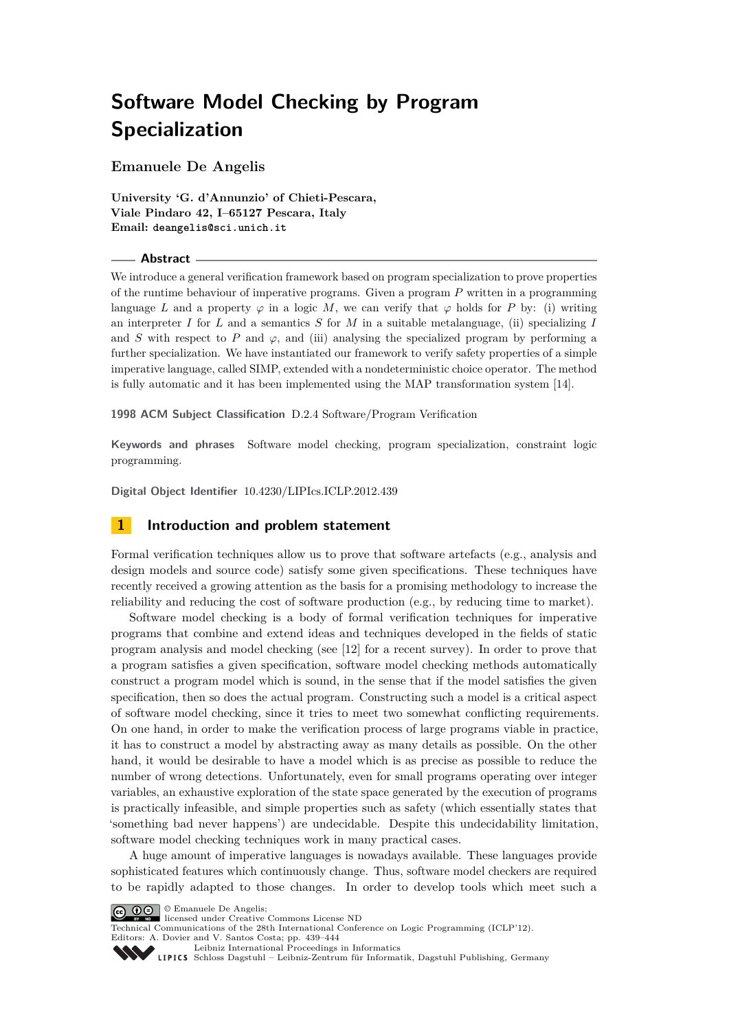# **Software Model Checking by Program Specialization**

**Emanuele De Angelis**

**University 'G. d'Annunzio' of Chieti-Pescara, Viale Pindaro 42, I–65127 Pescara, Italy Email: deangelis@sci.unich.it**

#### **Abstract**

We introduce a general verification framework based on program specialization to prove properties of the runtime behaviour of imperative programs. Given a program *P* written in a programming language *L* and a property  $\varphi$  in a logic *M*, we can verify that  $\varphi$  holds for *P* by: (i) writing an interpreter *I* for *L* and a semantics *S* for *M* in a suitable metalanguage, (ii) specializing *I* and *S* with respect to *P* and  $\varphi$ , and (iii) analysing the specialized program by performing a further specialization. We have instantiated our framework to verify safety properties of a simple imperative language, called SIMP, extended with a nondeterministic choice operator. The method is fully automatic and it has been implemented using the MAP transformation system [\[14\]](#page-5-0).

**1998 ACM Subject Classification** D.2.4 Software/Program Verification

**Keywords and phrases** Software model checking, program specialization, constraint logic programming.

**Digital Object Identifier** [10.4230/LIPIcs.ICLP.2012.439](http://dx.doi.org/10.4230/LIPIcs.ICLP.2012.439)

## **1 Introduction and problem statement**

Formal verification techniques allow us to prove that software artefacts (e.g., analysis and design models and source code) satisfy some given specifications. These techniques have recently received a growing attention as the basis for a promising methodology to increase the reliability and reducing the cost of software production (e.g., by reducing time to market).

Software model checking is a body of formal verification techniques for imperative programs that combine and extend ideas and techniques developed in the fields of static program analysis and model checking (see [\[12\]](#page-5-1) for a recent survey). In order to prove that a program satisfies a given specification, software model checking methods automatically construct a program model which is sound, in the sense that if the model satisfies the given specification, then so does the actual program. Constructing such a model is a critical aspect of software model checking, since it tries to meet two somewhat conflicting requirements. On one hand, in order to make the verification process of large programs viable in practice, it has to construct a model by abstracting away as many details as possible. On the other hand, it would be desirable to have a model which is as precise as possible to reduce the number of wrong detections. Unfortunately, even for small programs operating over integer variables, an exhaustive exploration of the state space generated by the execution of programs is practically infeasible, and simple properties such as safety (which essentially states that 'something bad never happens') are undecidable. Despite this undecidability limitation, software model checking techniques work in many practical cases.

A huge amount of imperative languages is nowadays available. These languages provide sophisticated features which continuously change. Thus, software model checkers are required to be rapidly adapted to those changes. In order to develop tools which meet such a



Technical Communications of the 28th International Conference on Logic Programming (ICLP'12). Editors: A. Dovier and V. Santos Costa; pp. 439[–444](#page-5-2)

[Leibniz International Proceedings in Informatics](http://www.dagstuhl.de/lipics/)

SCHLOSS Dagstuhl – Leibniz-Zentrum für Informatik, Dagstuhl Publishing, Germany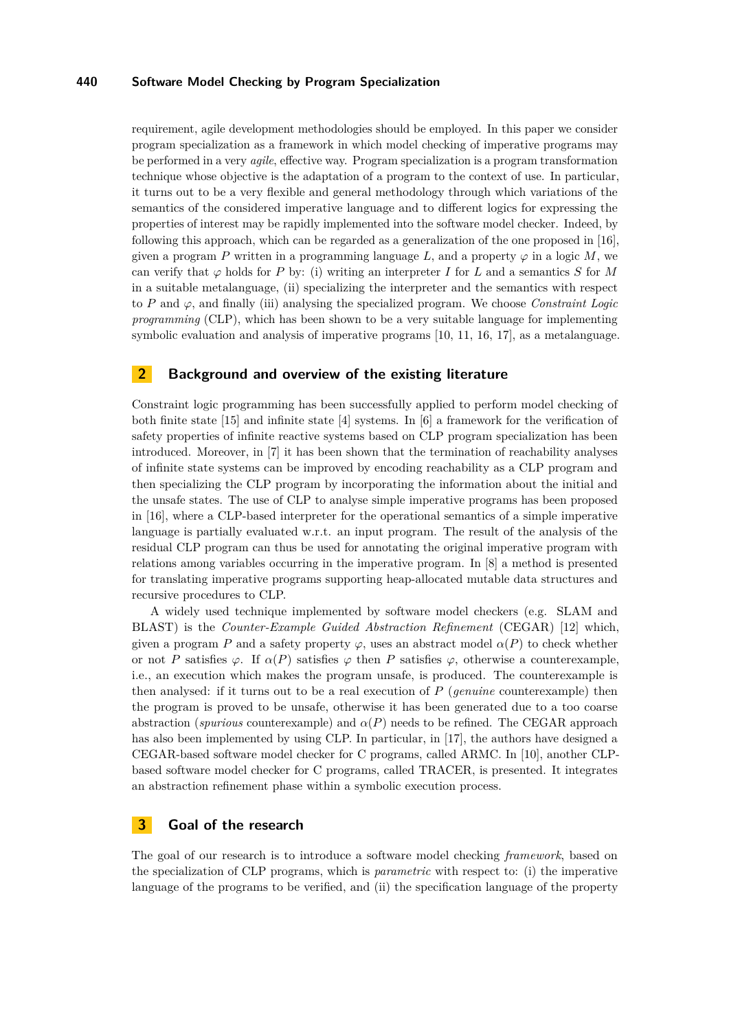#### **440 Software Model Checking by Program Specialization**

requirement, agile development methodologies should be employed. In this paper we consider program specialization as a framework in which model checking of imperative programs may be performed in a very *agile*, effective way. Program specialization is a program transformation technique whose objective is the adaptation of a program to the context of use. In particular, it turns out to be a very flexible and general methodology through which variations of the semantics of the considered imperative language and to different logics for expressing the properties of interest may be rapidly implemented into the software model checker. Indeed, by following this approach, which can be regarded as a generalization of the one proposed in [\[16\]](#page-5-3), given a program *P* written in a programming language L, and a property  $\varphi$  in a logic M, we can verify that  $\varphi$  holds for *P* by: (i) writing an interpreter *I* for *L* and a semantics *S* for *M* in a suitable metalanguage, (ii) specializing the interpreter and the semantics with respect to *P* and *ϕ*, and finally (iii) analysing the specialized program. We choose *Constraint Logic programming* (CLP), which has been shown to be a very suitable language for implementing symbolic evaluation and analysis of imperative programs [\[10,](#page-5-4) [11,](#page-5-5) [16,](#page-5-3) [17\]](#page-5-6), as a metalanguage.

## **2 Background and overview of the existing literature**

Constraint logic programming has been successfully applied to perform model checking of both finite state [\[15\]](#page-5-7) and infinite state [\[4\]](#page-5-8) systems. In [\[6\]](#page-5-9) a framework for the verification of safety properties of infinite reactive systems based on CLP program specialization has been introduced. Moreover, in [\[7\]](#page-5-10) it has been shown that the termination of reachability analyses of infinite state systems can be improved by encoding reachability as a CLP program and then specializing the CLP program by incorporating the information about the initial and the unsafe states. The use of CLP to analyse simple imperative programs has been proposed in [\[16\]](#page-5-3), where a CLP-based interpreter for the operational semantics of a simple imperative language is partially evaluated w.r.t. an input program. The result of the analysis of the residual CLP program can thus be used for annotating the original imperative program with relations among variables occurring in the imperative program. In [\[8\]](#page-5-11) a method is presented for translating imperative programs supporting heap-allocated mutable data structures and recursive procedures to CLP.

A widely used technique implemented by software model checkers (e.g. SLAM and BLAST) is the *Counter-Example Guided Abstraction Refinement* (CEGAR) [\[12\]](#page-5-1) which, given a program *P* and a safety property  $\varphi$ , uses an abstract model  $\alpha(P)$  to check whether or not *P* satisfies  $\varphi$ . If  $\alpha(P)$  satisfies  $\varphi$  then *P* satisfies  $\varphi$ , otherwise a counterexample, i.e., an execution which makes the program unsafe, is produced. The counterexample is then analysed: if it turns out to be a real execution of *P* (*genuine* counterexample) then the program is proved to be unsafe, otherwise it has been generated due to a too coarse abstraction (*spurious* counterexample) and  $\alpha(P)$  needs to be refined. The CEGAR approach has also been implemented by using CLP. In particular, in [\[17\]](#page-5-6), the authors have designed a CEGAR-based software model checker for C programs, called ARMC. In [\[10\]](#page-5-4), another CLPbased software model checker for C programs, called TRACER, is presented. It integrates an abstraction refinement phase within a symbolic execution process.

### <span id="page-1-0"></span>**3 Goal of the research**

The goal of our research is to introduce a software model checking *framework*, based on the specialization of CLP programs, which is *parametric* with respect to: (i) the imperative language of the programs to be verified, and (ii) the specification language of the property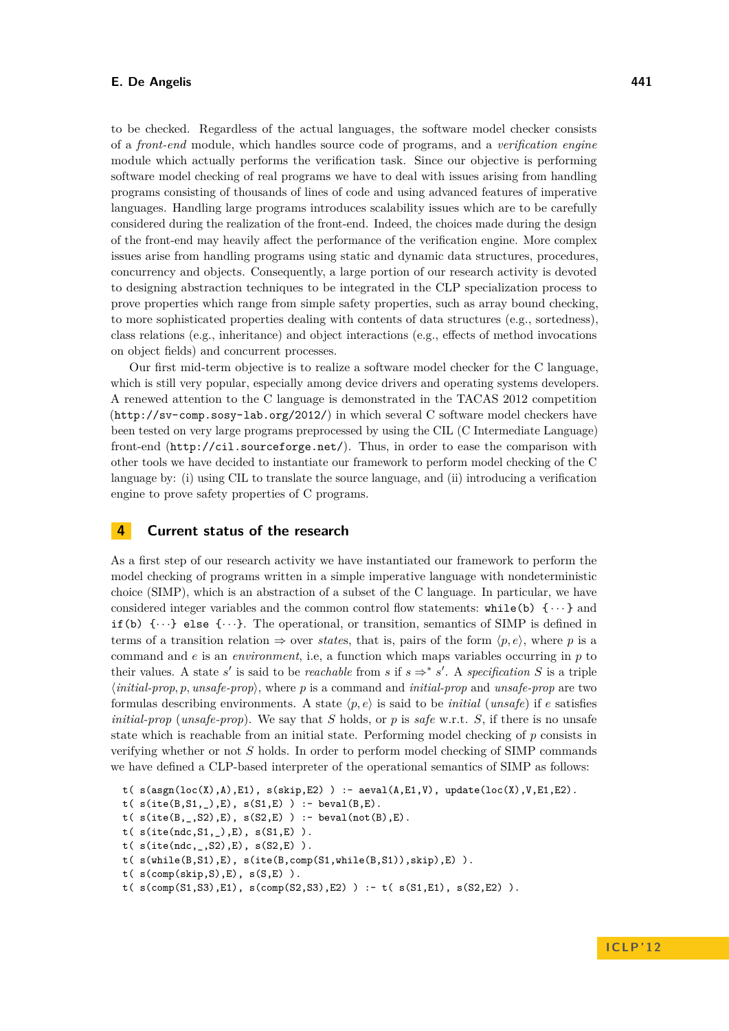#### **E. De Angelis 441**

to be checked. Regardless of the actual languages, the software model checker consists of a *front-end* module, which handles source code of programs, and a *verification engine* module which actually performs the verification task. Since our objective is performing software model checking of real programs we have to deal with issues arising from handling programs consisting of thousands of lines of code and using advanced features of imperative languages. Handling large programs introduces scalability issues which are to be carefully considered during the realization of the front-end. Indeed, the choices made during the design of the front-end may heavily affect the performance of the verification engine. More complex issues arise from handling programs using static and dynamic data structures, procedures, concurrency and objects. Consequently, a large portion of our research activity is devoted to designing abstraction techniques to be integrated in the CLP specialization process to prove properties which range from simple safety properties, such as array bound checking, to more sophisticated properties dealing with contents of data structures (e.g., sortedness), class relations (e.g., inheritance) and object interactions (e.g., effects of method invocations on object fields) and concurrent processes.

Our first mid-term objective is to realize a software model checker for the C language, which is still very popular, especially among device drivers and operating systems developers. A renewed attention to the C language is demonstrated in the TACAS 2012 competition (<http://sv-comp.sosy-lab.org/2012/>) in which several C software model checkers have been tested on very large programs preprocessed by using the CIL (C Intermediate Language) front-end (<http://cil.sourceforge.net/>). Thus, in order to ease the comparison with other tools we have decided to instantiate our framework to perform model checking of the C language by: (i) using CIL to translate the source language, and (ii) introducing a verification engine to prove safety properties of C programs.

# **4 Current status of the research**

As a first step of our research activity we have instantiated our framework to perform the model checking of programs written in a simple imperative language with nondeterministic choice (SIMP), which is an abstraction of a subset of the C language. In particular, we have considered integer variables and the common control flow statements:  $while(b) \{\cdots\}$  and if (b)  $\{\cdots\}$  else  $\{\cdots\}$ . The operational, or transition, semantics of SIMP is defined in terms of a transition relation  $\Rightarrow$  over *states*, that is, pairs of the form  $\langle p, e \rangle$ , where p is a command and *e* is an *environment*, i.e, a function which maps variables occurring in *p* to their values. A state *s'* is said to be *reachable* from *s* if  $s \Rightarrow^* s'$ . A *specification S* is a triple  $\langle initial\text{-}prop$ ,  $p$ ,  $\langle unsafe\text{-}prop\rangle$ , where  $p$  is a command and *initial-prop* and *unsafe-prop* are two formulas describing environments. A state  $\langle p, e \rangle$  is said to be *initial* (*unsafe*) if *e* satisfies *initial-prop* (*unsafe-prop*). We say that *S* holds, or *p* is *safe* w.r.t. *S*, if there is no unsafe state which is reachable from an initial state. Performing model checking of *p* consists in verifying whether or not *S* holds. In order to perform model checking of SIMP commands we have defined a CLP-based interpreter of the operational semantics of SIMP as follows:

```
t( s(asgn(loc(X), A), E1), s(skip, E2)) : - aeval(A, E1, V), update(loc(X), V, E1, E2).
```

```
t( s(ite(B,S1, _),E), s(S1,E) ): - beval(B,E).
```

```
t(s(ite(B, _{1}, S2), E), s(S2, E)) :- beval(not(B), E).
```

```
t( s(ite(ndc,S1,_),E), s(S1,E) ).
```

```
t( s(ite(ndc,_,S2),E), s(S2,E) ).
```
- t( s(while(B,S1),E), s(ite(B,comp(S1,while(B,S1)),skip),E) ).
- t( $s(\text{comp}(skip, S), E)$ ,  $s(S, E)$ ).

```
t( s(comp(S1, S3), E1), s(comp(S2, S3), E2) ) : - t( s(S1, E1), s(S2, E2) ).
```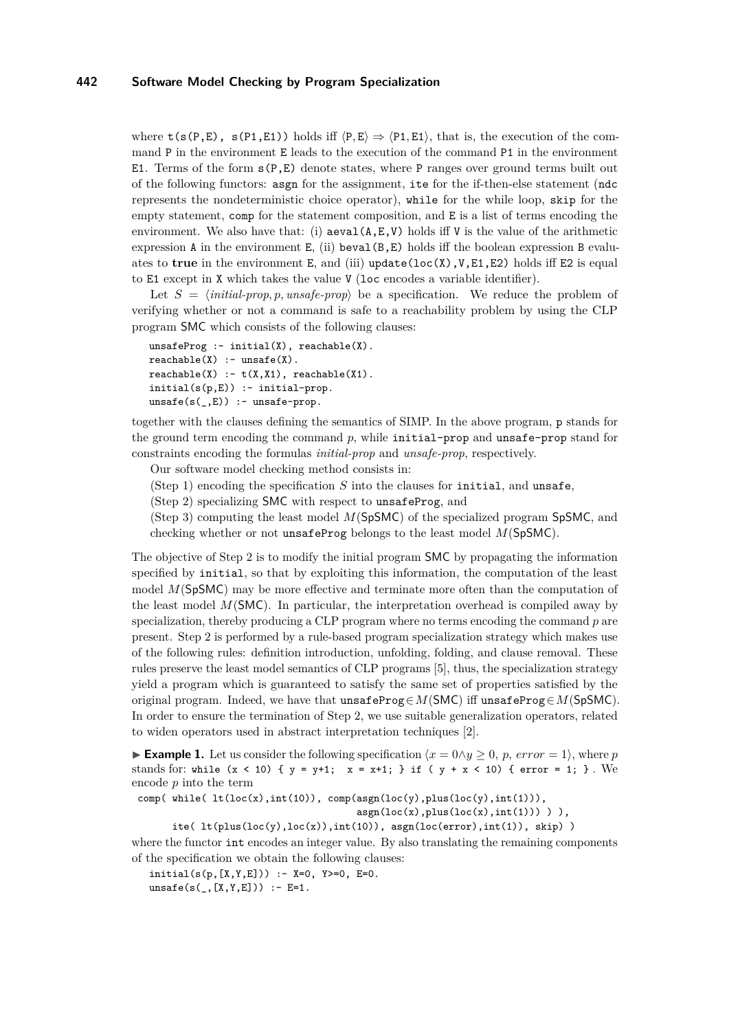where  $t(s(P,E), s(P1,E1))$  holds iff  $\langle P,E \rangle \Rightarrow \langle P1,E1 \rangle$ , that is, the execution of the command P in the environment E leads to the execution of the command P1 in the environment E1. Terms of the form  $s(P, E)$  denote states, where P ranges over ground terms built out of the following functors: asgn for the assignment, ite for the if-then-else statement (ndc represents the nondeterministic choice operator), while for the while loop, skip for the empty statement, comp for the statement composition, and E is a list of terms encoding the environment. We also have that: (i)  $a = \lambda, V$  holds iff V is the value of the arithmetic expression A in the environment  $E$ , (ii) beval( $B$ , $E$ ) holds iff the boolean expression B evaluates to **true** in the environment E, and (iii) update(loc(X),V,E1,E2) holds iff E2 is equal to E1 except in X which takes the value V (loc encodes a variable identifier).

Let *S* = h*initial-prop, p, unsafe-prop*i be a specification. We reduce the problem of verifying whether or not a command is safe to a reachability problem by using the CLP program SMC which consists of the following clauses:

```
unsafeProg: - initial(X), reachable(X).reachable(X) :- unsafe(fX).reachable(X) :- t(X,X1), reachable(X1).initial(s(p,E)) :- initial-prop.
unsafe(s(\_,E)) :- unsafe-prop.
```
together with the clauses defining the semantics of SIMP. In the above program, p stands for the ground term encoding the command *p*, while initial-prop and unsafe-prop stand for constraints encoding the formulas *initial-prop* and *unsafe-prop*, respectively.

Our software model checking method consists in:

(Step 1) encoding the specification *S* into the clauses for initial, and unsafe,

(Step 2) specializing SMC with respect to unsafeProg, and

(Step 3) computing the least model *M*(SpSMC) of the specialized program SpSMC, and checking whether or not unsafeProg belongs to the least model *M*(SpSMC).

The objective of Step 2 is to modify the initial program SMC by propagating the information specified by initial, so that by exploiting this information, the computation of the least model *M*(SpSMC) may be more effective and terminate more often than the computation of the least model *M*(SMC). In particular, the interpretation overhead is compiled away by specialization, thereby producing a CLP program where no terms encoding the command *p* are present. Step 2 is performed by a rule-based program specialization strategy which makes use of the following rules: definition introduction, unfolding, folding, and clause removal. These rules preserve the least model semantics of CLP programs [\[5\]](#page-5-12), thus, the specialization strategy yield a program which is guaranteed to satisfy the same set of properties satisfied by the original program. Indeed, we have that unsafeProg∈*M*(SMC) iff unsafeProg∈*M*(SpSMC). In order to ensure the termination of Step 2, we use suitable generalization operators, related to widen operators used in abstract interpretation techniques [\[2\]](#page-5-13).

**Example 1.** Let us consider the following specification  $\langle x = 0 \land y \rangle$  *o*, *p, error* = 1 $\rangle$ , where *p* stands for: while  $(x < 10)$  {  $y = y+1$ ;  $x = x+1$ ; } if (  $y + x < 10$ ) { error = 1; }. We encode *p* into the term

comp( while( $lt(loc(x),int(10))$ , comp(asgn(loc(y),plus(loc(y),int(1))),

```
asgn(loc(x), plus(loc(x),int(1)))),
```
ite(  $lt($ plus( $loc(y), loc(x))$ ,  $int(10))$ ,  $asgn(loc(error), int(1))$ ,  $skip)$ )

where the functor int encodes an integer value. By also translating the remaining components of the specification we obtain the following clauses:

 $initial(s(p,[X,Y,E]))$  :- X=0, Y>=0, E=0.

 $unsafe(s(_, [X, Y, E])) : E=1.$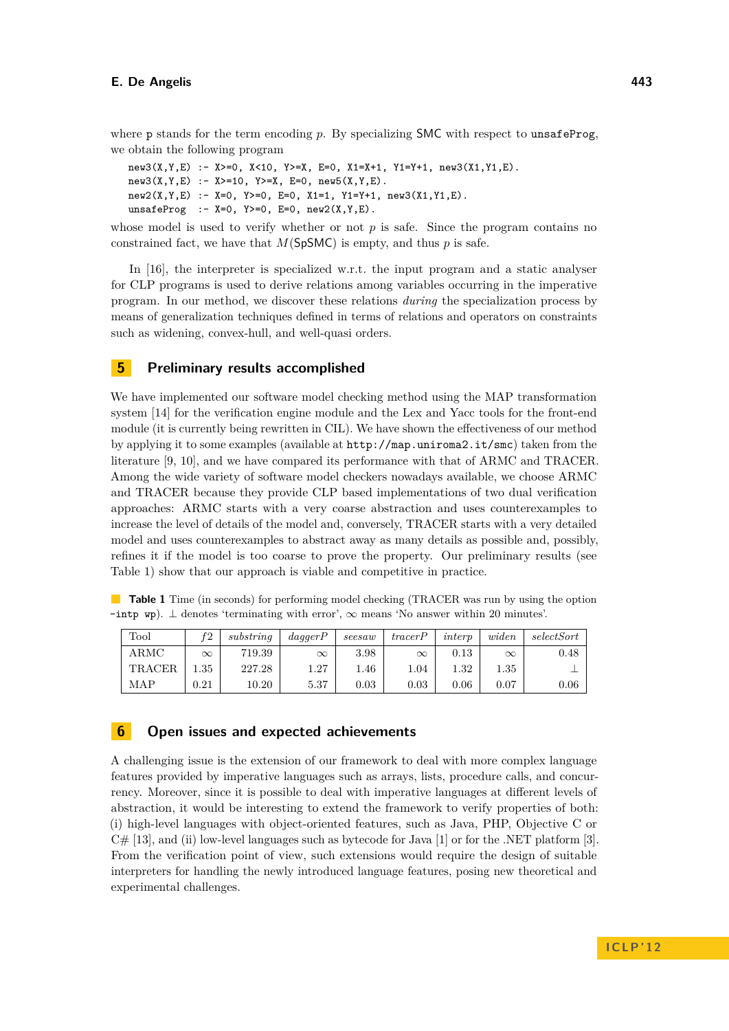where p stands for the term encoding *p*. By specializing **SMC** with respect to unsafeProg, we obtain the following program

```
new3(X, Y, E) :- X>=0, X<10, Y>=X, E=0, X1=X+1, Y1=Y+1, new3(X1,Y1,E).
new3(X, Y, E) :- X>=10, Y>=X, E=0, new5(X, Y, E).
new2(X, Y, E) :- X=0, Y>=0, E=0, X1=1, Y1=Y+1, new3(X1,Y1,E).
unsafeProg : - X=0, Y>=0, E=0, new2(X,Y,E).
```
whose model is used to verify whether or not  $p$  is safe. Since the program contains no constrained fact, we have that  $M(SpSMC)$  is empty, and thus p is safe.

In [\[16\]](#page-5-3), the interpreter is specialized w.r.t. the input program and a static analyser for CLP programs is used to derive relations among variables occurring in the imperative program. In our method, we discover these relations *during* the specialization process by means of generalization techniques defined in terms of relations and operators on constraints such as widening, convex-hull, and well-quasi orders.

## **5 Preliminary results accomplished**

We have implemented our software model checking method using the MAP transformation system [\[14\]](#page-5-0) for the verification engine module and the Lex and Yacc tools for the front-end module (it is currently being rewritten in CIL). We have shown the effectiveness of our method by applying it to some examples (available at <http://map.uniroma2.it/smc>) taken from the literature [\[9,](#page-5-14) [10\]](#page-5-4), and we have compared its performance with that of ARMC and TRACER. Among the wide variety of software model checkers nowadays available, we choose ARMC and TRACER because they provide CLP based implementations of two dual verification approaches: ARMC starts with a very coarse abstraction and uses counterexamples to increase the level of details of the model and, conversely, TRACER starts with a very detailed model and uses counterexamples to abstract away as many details as possible and, possibly, refines it if the model is too coarse to prove the property. Our preliminary results (see Table [1\)](#page-4-0) show that our approach is viable and competitive in practice.

<span id="page-4-0"></span>**Table 1** Time (in seconds) for performing model checking (TRACER was run by using the option –intp wp). ⊥ denotes 'terminating with error', ∞ means 'No answer within 20 minutes'.

| Tool          | f2         | substring | $da \ddot{q} \text{a} \text{g} \text{e} \text{r} \text{P}$ | seesaw   | traceP   | interp     | widen      | selectSort |
|---------------|------------|-----------|------------------------------------------------------------|----------|----------|------------|------------|------------|
| ARMC          | $\infty$   | 719.39    | $\infty$                                                   | 3.98     | $\infty$ | $\rm 0.13$ | $\infty$   | $0.48\,$   |
| <b>TRACER</b> | $1.35\,$   | 227.28    | 1.27                                                       | $1.46\,$ | 1.04     | 1.32       | $1.35\,$   |            |
| MAP           | $\rm 0.21$ | 10.20     | 5.37                                                       | 0.03     | 0.03     | $0.06\,$   | $\rm 0.07$ | $0.06\,$   |

## **6 Open issues and expected achievements**

A challenging issue is the extension of our framework to deal with more complex language features provided by imperative languages such as arrays, lists, procedure calls, and concurrency. Moreover, since it is possible to deal with imperative languages at different levels of abstraction, it would be interesting to extend the framework to verify properties of both: (i) high-level languages with object-oriented features, such as Java, PHP, Objective C or  $C#$  [\[13\]](#page-5-15), and (ii) low-level languages such as bytecode for Java [\[1\]](#page-5-16) or for the .NET platform [\[3\]](#page-5-17). From the verification point of view, such extensions would require the design of suitable interpreters for handling the newly introduced language features, posing new theoretical and experimental challenges.